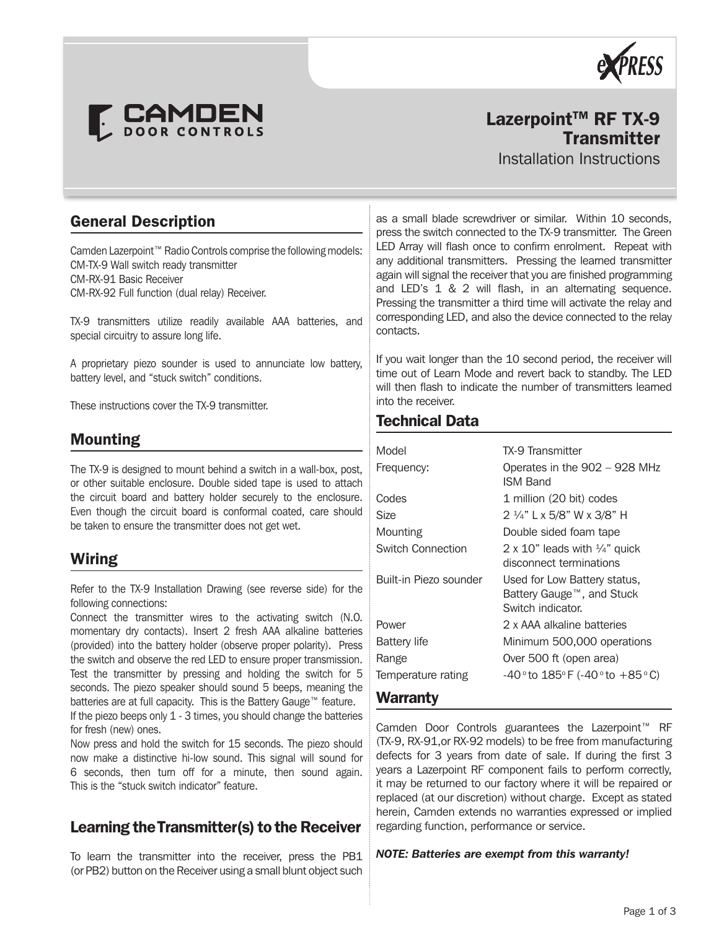



# Lazerpoint<sup>™</sup> RF TX-9 **Transmitter**

Installation Instructions

## General Description

Camden Lazerpoint™ Radio Controls comprise the following models: CM-TX-9 Wall switch ready transmitter CM-RX-91 Basic Receiver CM-RX-92 Full function (dual relay) Receiver.

TX-9 transmitters utilize readily available AAA batteries, and special circuitry to assure long life.

A proprietary piezo sounder is used to annunciate low battery, battery level, and "stuck switch" conditions.

These instructions cover the TX-9 transmitter.

## Mounting

The TX-9 is designed to mount behind a switch in a wall-box, post, or other suitable enclosure. Double sided tape is used to attach the circuit board and battery holder securely to the enclosure. Even though the circuit board is conformal coated, care should be taken to ensure the transmitter does not get wet.

## Wiring

Refer to the TX-9 Installation Drawing (see reverse side) for the following connections:

Connect the transmitter wires to the activating switch (N.O. momentary dry contacts). Insert 2 fresh AAA alkaline batteries (provided) into the battery holder (observe proper polarity). Press the switch and observe the red LED to ensure proper transmission. Test the transmitter by pressing and holding the switch for 5 seconds. The piezo speaker should sound 5 beeps, meaning the batteries are at full capacity. This is the Battery Gauge™ feature. If the piezo beeps only 1 - 3 times, you should change the batteries for fresh (new) ones.

Now press and hold the switch for 15 seconds. The piezo should now make a distinctive hi-low sound. This signal will sound for 6 seconds, then turn off for a minute, then sound again. This is the "stuck switch indicator" feature.

## Learning the Transmitter(s) to the Receiver

To learn the transmitter into the receiver, press the PB1 (or PB2) button on the Receiver using a small blunt object such

as a small blade screwdriver or similar. Within 10 seconds, press the switch connected to the TX-9 transmitter. The Green LED Array will flash once to confirm enrolment. Repeat with any additional transmitters. Pressing the learned transmitter again will signal the receiver that you are finished programming and LED's 1 & 2 will flash, in an alternating sequence. Pressing the transmitter a third time will activate the relay and corresponding LED, and also the device connected to the relay contacts.

If you wait longer than the 10 second period, the receiver will time out of Learn Mode and revert back to standby. The LED will then flash to indicate the number of transmitters learned into the receiver.

## Technical Data

| Model                  | <b>TX-9 Transmitter</b>                                                        |
|------------------------|--------------------------------------------------------------------------------|
| Frequency:             | Operates in the 902 - 928 MHz<br>ISM Band                                      |
| Codes                  | 1 million (20 bit) codes                                                       |
| Size                   | 2 ¼" L x 5/8" W x 3/8" H                                                       |
| Mounting               | Double sided foam tape                                                         |
| Switch Connection      | 2 x 10" leads with $\frac{1}{4}$ " quick<br>disconnect terminations            |
| Built-in Piezo sounder | Used for Low Battery status,<br>Battery Gauge™, and Stuck<br>Switch indicator. |
| Power                  | 2 x AAA alkaline batteries                                                     |
| <b>Battery life</b>    | Minimum 500,000 operations                                                     |
| Range                  | Over 500 ft (open area)                                                        |
| Temperature rating     | $-40°$ to $185°$ F ( $-40°$ to $+85°$ C)                                       |
| Warrantv               |                                                                                |

Camden Door Controls guarantees the Lazerpoint™ RF (TX-9, RX-91,or RX-92 models) to be free from manufacturing defects for 3 years from date of sale. If during the first 3 years a Lazerpoint RF component fails to perform correctly, it may be returned to our factory where it will be repaired or replaced (at our discretion) without charge. Except as stated herein, Camden extends no warranties expressed or implied regarding function, performance or service.

### *NOTE: Batteries are exempt from this warranty!*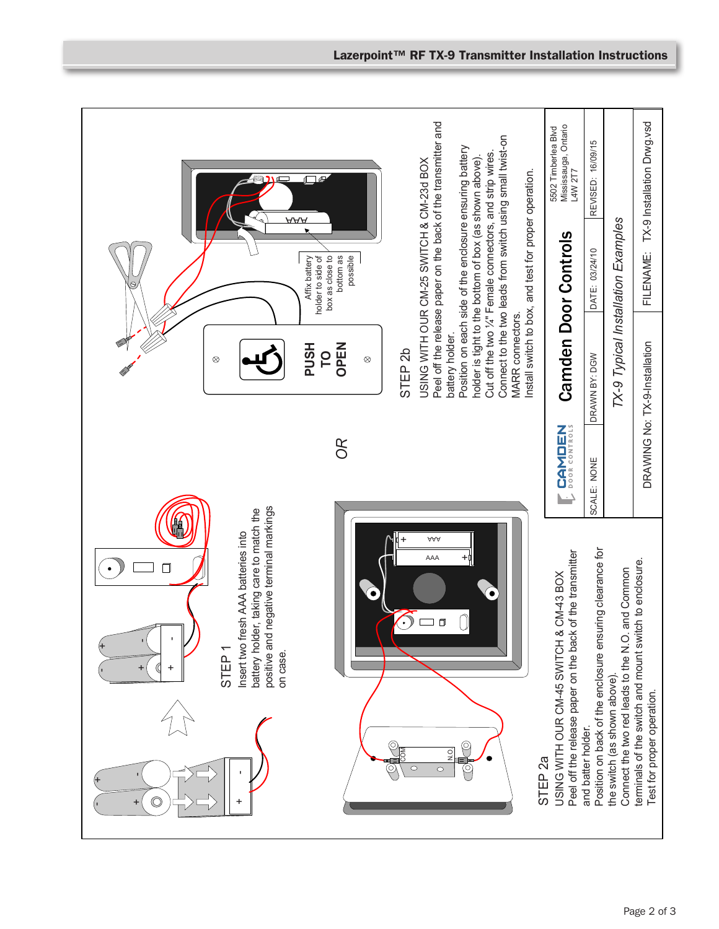